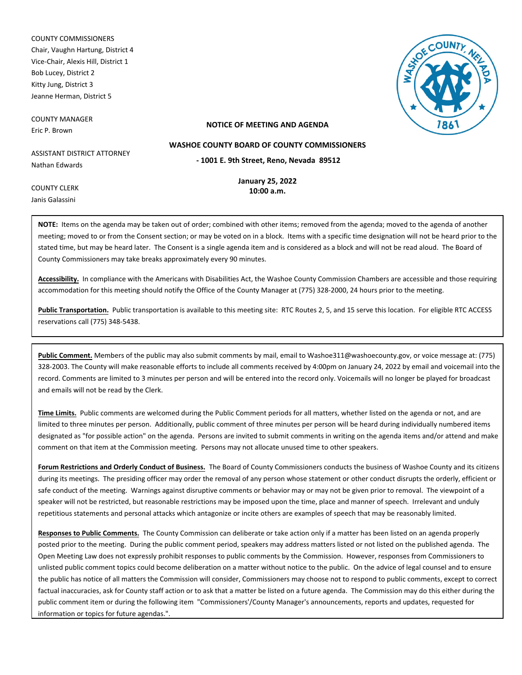COUNTY COMMISSIONERS Chair, Vaughn Hartung, District 4 Vice-Chair, Alexis Hill, District 1 Bob Lucey, District 2 Kitty Jung, District 3 Jeanne Herman, District 5

COUNTY MANAGER Eric P. Brown



### **NOTICE OF MEETING AND AGENDA**

ASSISTANT DISTRICT ATTORNEY Nathan Edwards

**January 25, 2022**

**- 1001 E. 9th Street, Reno, Nevada 89512 WASHOE COUNTY BOARD OF COUNTY COMMISSIONERS**

COUNTY CLERK Janis Galassini

**10:00 a.m.**

**NOTE:** Items on the agenda may be taken out of order; combined with other items; removed from the agenda; moved to the agenda of another meeting; moved to or from the Consent section; or may be voted on in a block. Items with a specific time designation will not be heard prior to the stated time, but may be heard later. The Consent is a single agenda item and is considered as a block and will not be read aloud. The Board of County Commissioners may take breaks approximately every 90 minutes.

**Accessibility.** In compliance with the Americans with Disabilities Act, the Washoe County Commission Chambers are accessible and those requiring accommodation for this meeting should notify the Office of the County Manager at (775) 328-2000, 24 hours prior to the meeting.

Public Transportation. Public transportation is available to this meeting site: RTC Routes 2, 5, and 15 serve this location. For eligible RTC ACCESS reservations call (775) 348-5438.

**Public Comment.** Members of the public may also submit comments by mail, email to Washoe311@washoecounty.gov, or voice message at: (775) 328-2003. The County will make reasonable efforts to include all comments received by 4:00pm on January 24, 2022 by email and voicemail into the record. Comments are limited to 3 minutes per person and will be entered into the record only. Voicemails will no longer be played for broadcast and emails will not be read by the Clerk.

**Time Limits.** Public comments are welcomed during the Public Comment periods for all matters, whether listed on the agenda or not, and are limited to three minutes per person. Additionally, public comment of three minutes per person will be heard during individually numbered items designated as "for possible action" on the agenda. Persons are invited to submit comments in writing on the agenda items and/or attend and make comment on that item at the Commission meeting. Persons may not allocate unused time to other speakers.

**Forum Restrictions and Orderly Conduct of Business.** The Board of County Commissioners conducts the business of Washoe County and its citizens during its meetings. The presiding officer may order the removal of any person whose statement or other conduct disrupts the orderly, efficient or safe conduct of the meeting. Warnings against disruptive comments or behavior may or may not be given prior to removal. The viewpoint of a speaker will not be restricted, but reasonable restrictions may be imposed upon the time, place and manner of speech. Irrelevant and unduly repetitious statements and personal attacks which antagonize or incite others are examples of speech that may be reasonably limited.

**Responses to Public Comments.** The County Commission can deliberate or take action only if a matter has been listed on an agenda properly posted prior to the meeting. During the public comment period, speakers may address matters listed or not listed on the published agenda. The Open Meeting Law does not expressly prohibit responses to public comments by the Commission. However, responses from Commissioners to unlisted public comment topics could become deliberation on a matter without notice to the public. On the advice of legal counsel and to ensure the public has notice of all matters the Commission will consider, Commissioners may choose not to respond to public comments, except to correct factual inaccuracies, ask for County staff action or to ask that a matter be listed on a future agenda. The Commission may do this either during the public comment item or during the following item "Commissioners'/County Manager's announcements, reports and updates, requested for information or topics for future agendas.".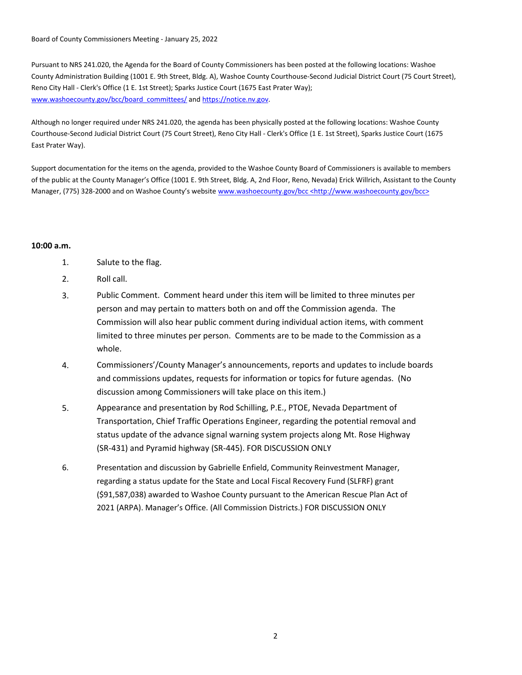Board of County Commissioners Meeting - January 25, 2022

Pursuant to NRS 241.020, the Agenda for the Board of County Commissioners has been posted at the following locations: Washoe County Administration Building (1001 E. 9th Street, Bldg. A), Washoe County Courthouse-Second Judicial District Court (75 Court Street), Reno City Hall - Clerk's Office (1 E. 1st Street); Sparks Justice Court (1675 East Prater Way); www.washoecounty.gov/bcc/board\_committees/ and https://notice.nv.gov.

Although no longer required under NRS 241.020, the agenda has been physically posted at the following locations: Washoe County Courthouse-Second Judicial District Court (75 Court Street), Reno City Hall - Clerk's Office (1 E. 1st Street), Sparks Justice Court (1675 East Prater Way).

Support documentation for the items on the agenda, provided to the Washoe County Board of Commissioners is available to members of the public at the County Manager's Office (1001 E. 9th Street, Bldg. A, 2nd Floor, Reno, Nevada) Erick Willrich, Assistant to the County Manager, (775) 328-2000 and on Washoe County's website www.washoecounty.gov/bcc <http://www.washoecounty.gov/bcc>

### **10:00 a.m.**

- 1. Salute to the flag.
- 2. Roll call.
- 3. Public Comment. Comment heard under this item will be limited to three minutes per person and may pertain to matters both on and off the Commission agenda. The Commission will also hear public comment during individual action items, with comment limited to three minutes per person. Comments are to be made to the Commission as a whole.
- 4. Commissioners'/County Manager's announcements, reports and updates to include boards and commissions updates, requests for information or topics for future agendas. (No discussion among Commissioners will take place on this item.)
- 5. Appearance and presentation by Rod Schilling, P.E., PTOE, Nevada Department of Transportation, Chief Traffic Operations Engineer, regarding the potential removal and status update of the advance signal warning system projects along Mt. Rose Highway (SR-431) and Pyramid highway (SR-445). FOR DISCUSSION ONLY
- Presentation and discussion by Gabrielle Enfield, Community Reinvestment Manager, regarding a status update for the State and Local Fiscal Recovery Fund (SLFRF) grant (\$91,587,038) awarded to Washoe County pursuant to the American Rescue Plan Act of 2021 (ARPA). Manager's Office. (All Commission Districts.) FOR DISCUSSION ONLY 6.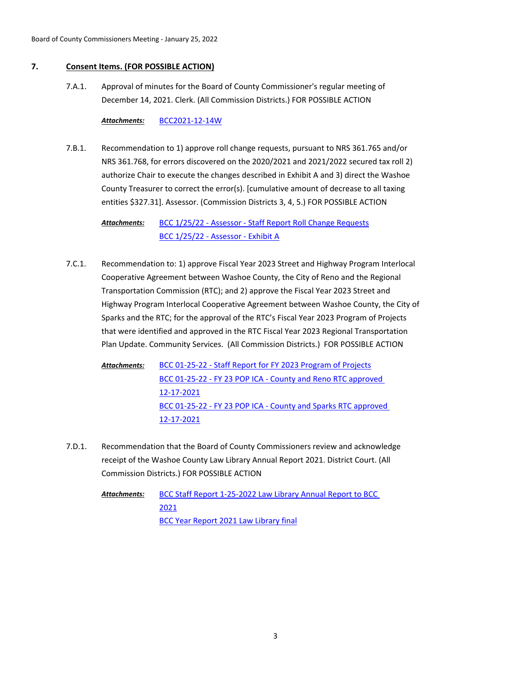# **7. Consent Items. (FOR POSSIBLE ACTION)**

Approval of minutes for the Board of County Commissioner's regular meeting of December 14, 2021. Clerk. (All Commission Districts.) FOR POSSIBLE ACTION 7.A.1.

## *Attachments:* [BCC2021-12-14W](http://washoe-nv.legistar.com/gateway.aspx?M=F&ID=772ac146-2afc-4143-918d-db020877bf9d.pdf)

Recommendation to 1) approve roll change requests, pursuant to NRS 361.765 and/or NRS 361.768, for errors discovered on the 2020/2021 and 2021/2022 secured tax roll 2) authorize Chair to execute the changes described in Exhibit A and 3) direct the Washoe County Treasurer to correct the error(s). [cumulative amount of decrease to all taxing entities \$327.31]. Assessor. (Commission Districts 3, 4, 5.) FOR POSSIBLE ACTION 7.B.1.

> [BCC 1/25/22 - Assessor - Staff Report Roll Change Requests](http://washoe-nv.legistar.com/gateway.aspx?M=F&ID=36e0d628-69a1-471a-af8d-988c025f0120.docx) [BCC 1/25/22 - Assessor - Exhibit A](http://washoe-nv.legistar.com/gateway.aspx?M=F&ID=0ca9e603-37e7-4a85-845a-6a225d5104f9.pdf) *Attachments:*

Recommendation to: 1) approve Fiscal Year 2023 Street and Highway Program Interlocal Cooperative Agreement between Washoe County, the City of Reno and the Regional Transportation Commission (RTC); and 2) approve the Fiscal Year 2023 Street and Highway Program Interlocal Cooperative Agreement between Washoe County, the City of Sparks and the RTC; for the approval of the RTC's Fiscal Year 2023 Program of Projects that were identified and approved in the RTC Fiscal Year 2023 Regional Transportation Plan Update. Community Services. (All Commission Districts.) FOR POSSIBLE ACTION 7.C.1.

[BCC 01-25-22 - Staff Report for FY 2023 Program of Projects](http://washoe-nv.legistar.com/gateway.aspx?M=F&ID=59d592f3-36fe-4db7-83bf-059fe1ead06b.doc) [BCC 01-25-22 - FY 23 POP ICA - County and Reno RTC approved](http://washoe-nv.legistar.com/gateway.aspx?M=F&ID=7bcad4cd-1c1d-4405-bf13-6ced4f758741.pdf)  12-17-2021 [BCC 01-25-22 - FY 23 POP ICA - County and Sparks RTC approved](http://washoe-nv.legistar.com/gateway.aspx?M=F&ID=a9d72351-8ebc-41de-9875-775dfcd1f441.pdf)  12-17-2021 *Attachments:*

Recommendation that the Board of County Commissioners review and acknowledge receipt of the Washoe County Law Library Annual Report 2021. District Court. (All Commission Districts.) FOR POSSIBLE ACTION 7.D.1.

> [BCC Staff Report 1-25-2022 Law Library Annual Report to BCC](http://washoe-nv.legistar.com/gateway.aspx?M=F&ID=51114be2-c213-430b-aa4a-7d31161116b1.doc)  2021 [BCC Year Report 2021 Law Library final](http://washoe-nv.legistar.com/gateway.aspx?M=F&ID=c03c9453-90e5-44a1-8aad-f190edb9cd23.docx) *Attachments:*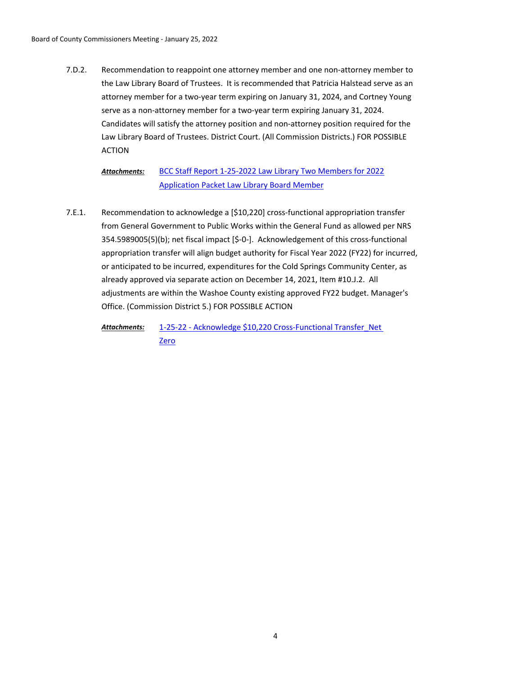Recommendation to reappoint one attorney member and one non-attorney member to the Law Library Board of Trustees. It is recommended that Patricia Halstead serve as an attorney member for a two-year term expiring on January 31, 2024, and Cortney Young serve as a non-attorney member for a two-year term expiring January 31, 2024. Candidates will satisfy the attorney position and non-attorney position required for the Law Library Board of Trustees. District Court. (All Commission Districts.) FOR POSSIBLE ACTION 7.D.2.

> [BCC Staff Report 1-25-2022 Law Library Two Members for 2022](http://washoe-nv.legistar.com/gateway.aspx?M=F&ID=c497ff62-0e92-4621-873e-1b74c5444940.doc) [Application Packet Law Library Board Member](http://washoe-nv.legistar.com/gateway.aspx?M=F&ID=773c8a50-5bfe-4314-8870-f68022b0c0b3.pdf) *Attachments:*

Recommendation to acknowledge a [\$10,220] cross-functional appropriation transfer from General Government to Public Works within the General Fund as allowed per NRS 354.5989005(5)(b); net fiscal impact [\$-0-]. Acknowledgement of this cross-functional appropriation transfer will align budget authority for Fiscal Year 2022 (FY22) for incurred, or anticipated to be incurred, expenditures for the Cold Springs Community Center, as already approved via separate action on December 14, 2021, Item #10.J.2. All adjustments are within the Washoe County existing approved FY22 budget. Manager's Office. (Commission District 5.) FOR POSSIBLE ACTION 7.E.1.

[1-25-22 - Acknowledge \\$10,220 Cross-Functional Transfer\\_Net](http://washoe-nv.legistar.com/gateway.aspx?M=F&ID=bf1501ab-6d35-4e42-a239-34ec31509417.doc)  Zero *Attachments:*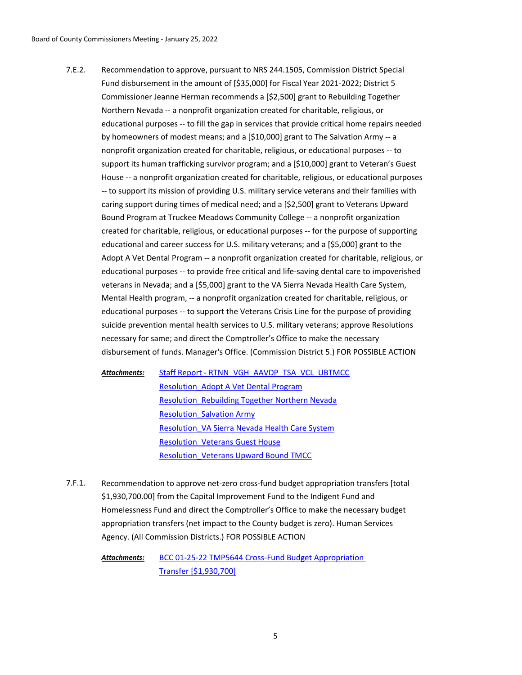Recommendation to approve, pursuant to NRS 244.1505, Commission District Special Fund disbursement in the amount of [\$35,000] for Fiscal Year 2021-2022; District 5 Commissioner Jeanne Herman recommends a [\$2,500] grant to Rebuilding Together Northern Nevada -- a nonprofit organization created for charitable, religious, or educational purposes -- to fill the gap in services that provide critical home repairs needed by homeowners of modest means; and a [\$10,000] grant to The Salvation Army -- a nonprofit organization created for charitable, religious, or educational purposes -- to support its human trafficking survivor program; and a [\$10,000] grant to Veteran's Guest House -- a nonprofit organization created for charitable, religious, or educational purposes -- to support its mission of providing U.S. military service veterans and their families with caring support during times of medical need; and a [\$2,500] grant to Veterans Upward Bound Program at Truckee Meadows Community College -- a nonprofit organization created for charitable, religious, or educational purposes -- for the purpose of supporting educational and career success for U.S. military veterans; and a [\$5,000] grant to the Adopt A Vet Dental Program -- a nonprofit organization created for charitable, religious, or educational purposes -- to provide free critical and life-saving dental care to impoverished veterans in Nevada; and a [\$5,000] grant to the VA Sierra Nevada Health Care System, Mental Health program, -- a nonprofit organization created for charitable, religious, or educational purposes -- to support the Veterans Crisis Line for the purpose of providing suicide prevention mental health services to U.S. military veterans; approve Resolutions necessary for same; and direct the Comptroller's Office to make the necessary disbursement of funds. Manager's Office. (Commission District 5.) FOR POSSIBLE ACTION 7.E.2.

[Staff Report - RTNN\\_VGH\\_AAVDP\\_TSA\\_VCL\\_UBTMCC](http://washoe-nv.legistar.com/gateway.aspx?M=F&ID=3b960a56-d1aa-444f-ba97-2c8d68b15292.docx) [Resolution\\_Adopt A Vet Dental Program](http://washoe-nv.legistar.com/gateway.aspx?M=F&ID=3f97d9a8-d608-44a2-935f-4ba12a8f425f.docx) [Resolution\\_Rebuilding Together Northern Nevada](http://washoe-nv.legistar.com/gateway.aspx?M=F&ID=74f41d37-c2ec-4878-8294-b90f45ed0bfc.docx) [Resolution\\_Salvation Army](http://washoe-nv.legistar.com/gateway.aspx?M=F&ID=18580d5c-aadc-4a85-a612-2216e446c53d.docx) [Resolution\\_VA Sierra Nevada Health Care System](http://washoe-nv.legistar.com/gateway.aspx?M=F&ID=5502597c-1e8f-4b0f-9602-c529ee5219c3.docx) [Resolution\\_Veterans Guest House](http://washoe-nv.legistar.com/gateway.aspx?M=F&ID=e0278a0b-2094-4147-b815-2b3e044e9fcd.docx) [Resolution\\_Veterans Upward Bound TMCC](http://washoe-nv.legistar.com/gateway.aspx?M=F&ID=2e1b78e2-fbe9-4494-8941-b521fad734c8.docx) *Attachments:*

Recommendation to approve net-zero cross-fund budget appropriation transfers [total \$1,930,700.00] from the Capital Improvement Fund to the Indigent Fund and Homelessness Fund and direct the Comptroller's Office to make the necessary budget appropriation transfers (net impact to the County budget is zero). Human Services Agency. (All Commission Districts.) FOR POSSIBLE ACTION 7.F.1.

> [BCC 01-25-22 TMP5644 Cross-Fund Budget Appropriation](http://washoe-nv.legistar.com/gateway.aspx?M=F&ID=a7f47b38-f594-4ca7-aa62-86eb34173271.doc)  Transfer [\$1,930,700] *Attachments:*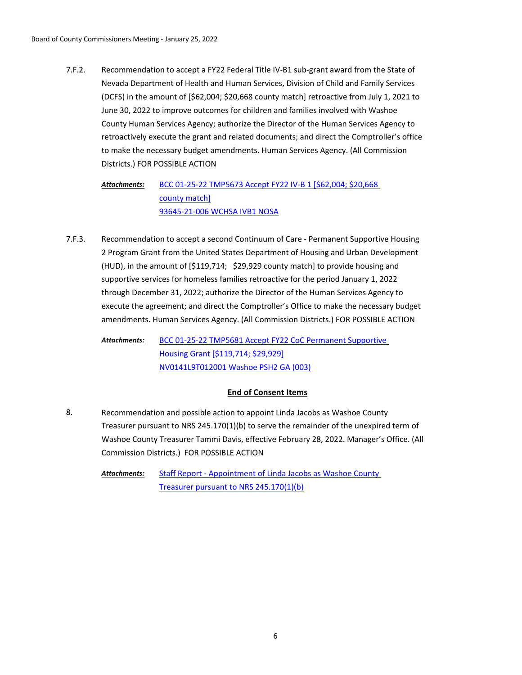Recommendation to accept a FY22 Federal Title IV-B1 sub-grant award from the State of Nevada Department of Health and Human Services, Division of Child and Family Services (DCFS) in the amount of [\$62,004; \$20,668 county match] retroactive from July 1, 2021 to June 30, 2022 to improve outcomes for children and families involved with Washoe County Human Services Agency; authorize the Director of the Human Services Agency to retroactively execute the grant and related documents; and direct the Comptroller's office to make the necessary budget amendments. Human Services Agency. (All Commission Districts.) FOR POSSIBLE ACTION 7.F.2.

[BCC 01-25-22 TMP5673 Accept FY22 IV-B 1 \[\\$62,004; \\$20,668](http://washoe-nv.legistar.com/gateway.aspx?M=F&ID=238652e2-91fe-463d-97c0-7460c204fa6c.doc)  county match] [93645-21-006 WCHSA IVB1 NOSA](http://washoe-nv.legistar.com/gateway.aspx?M=F&ID=73838f66-f8fa-4954-9504-05c5f00e0f24.pdf) *Attachments:*

Recommendation to accept a second Continuum of Care - Permanent Supportive Housing 2 Program Grant from the United States Department of Housing and Urban Development (HUD), in the amount of [\$119,714; \$29,929 county match] to provide housing and supportive services for homeless families retroactive for the period January 1, 2022 through December 31, 2022; authorize the Director of the Human Services Agency to execute the agreement; and direct the Comptroller's Office to make the necessary budget amendments. Human Services Agency. (All Commission Districts.) FOR POSSIBLE ACTION 7.F.3.

[BCC 01-25-22 TMP5681 Accept FY22 CoC Permanent Supportive](http://washoe-nv.legistar.com/gateway.aspx?M=F&ID=d0e8ffc6-6e82-4f5e-b519-a985a05caf36.doc)  Housing Grant [\$119,714; \$29,929] [NV0141L9T012001 Washoe PSH2 GA \(003\)](http://washoe-nv.legistar.com/gateway.aspx?M=F&ID=72e3894d-d260-4136-a424-a3a116e71999.pdf) *Attachments:*

# **End of Consent Items**

Recommendation and possible action to appoint Linda Jacobs as Washoe County Treasurer pursuant to NRS 245.170(1)(b) to serve the remainder of the unexpired term of Washoe County Treasurer Tammi Davis, effective February 28, 2022. Manager's Office. (All Commission Districts.) FOR POSSIBLE ACTION 8.

[Staff Report - Appointment of Linda Jacobs as Washoe County](http://washoe-nv.legistar.com/gateway.aspx?M=F&ID=13e7cba0-d4fb-466e-b093-8ff05562e9cc.doc)  Treasurer pursuant to NRS 245.170(1)(b) *Attachments:*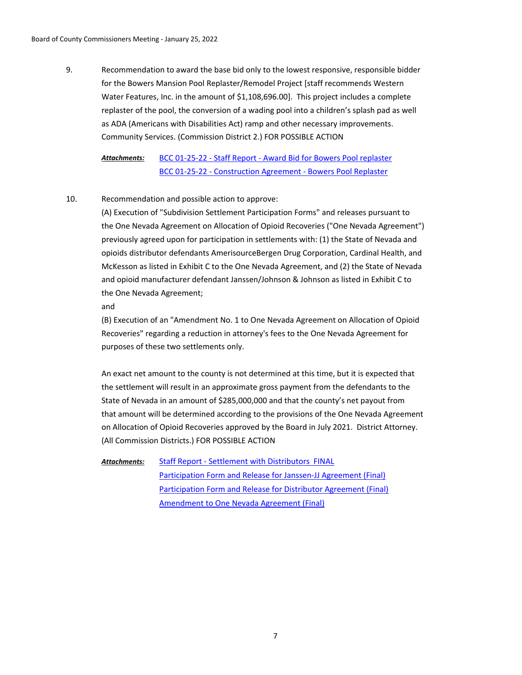Recommendation to award the base bid only to the lowest responsive, responsible bidder for the Bowers Mansion Pool Replaster/Remodel Project [staff recommends Western Water Features, Inc. in the amount of \$1,108,696.00]. This project includes a complete replaster of the pool, the conversion of a wading pool into a children's splash pad as well as ADA (Americans with Disabilities Act) ramp and other necessary improvements. Community Services. (Commission District 2.) FOR POSSIBLE ACTION 9.

[BCC 01-25-22 - Staff Report - Award Bid for Bowers Pool replaster](http://washoe-nv.legistar.com/gateway.aspx?M=F&ID=5ee73214-c3ad-49c8-a0be-c3633a5134c7.doc) [BCC 01-25-22 - Construction Agreement - Bowers Pool Replaster](http://washoe-nv.legistar.com/gateway.aspx?M=F&ID=beb6142d-665b-4832-9136-234289b6ff3a.pdf) *Attachments:*

#### Recommendation and possible action to approve: 10.

(A) Execution of "Subdivision Settlement Participation Forms" and releases pursuant to the One Nevada Agreement on Allocation of Opioid Recoveries ("One Nevada Agreement") previously agreed upon for participation in settlements with: (1) the State of Nevada and opioids distributor defendants AmerisourceBergen Drug Corporation, Cardinal Health, and McKesson as listed in Exhibit C to the One Nevada Agreement, and (2) the State of Nevada and opioid manufacturer defendant Janssen/Johnson & Johnson as listed in Exhibit C to the One Nevada Agreement;

and

(B) Execution of an "Amendment No. 1 to One Nevada Agreement on Allocation of Opioid Recoveries" regarding a reduction in attorney's fees to the One Nevada Agreement for purposes of these two settlements only.

An exact net amount to the county is not determined at this time, but it is expected that the settlement will result in an approximate gross payment from the defendants to the State of Nevada in an amount of \$285,000,000 and that the county's net payout from that amount will be determined according to the provisions of the One Nevada Agreement on Allocation of Opioid Recoveries approved by the Board in July 2021. District Attorney. (All Commission Districts.) FOR POSSIBLE ACTION

[Staff Report - Settlement with Distributors FINAL](http://washoe-nv.legistar.com/gateway.aspx?M=F&ID=6b1daca7-a8fe-4a64-a6bd-8bbdf1fda306.doc) [Participation Form and Release for Janssen-JJ Agreement \(Final\)](http://washoe-nv.legistar.com/gateway.aspx?M=F&ID=a36c1d37-a84f-4f70-a068-5acfb1f5bd6c.pdf) [Participation Form and Release for Distributor Agreement \(Final\)](http://washoe-nv.legistar.com/gateway.aspx?M=F&ID=39edf4b2-a898-4efa-b860-d506bb6d8482.pdf) [Amendment to One Nevada Agreement \(Final\)](http://washoe-nv.legistar.com/gateway.aspx?M=F&ID=9561b7b9-92e2-4785-a753-ec34f286f956.pdf) *Attachments:*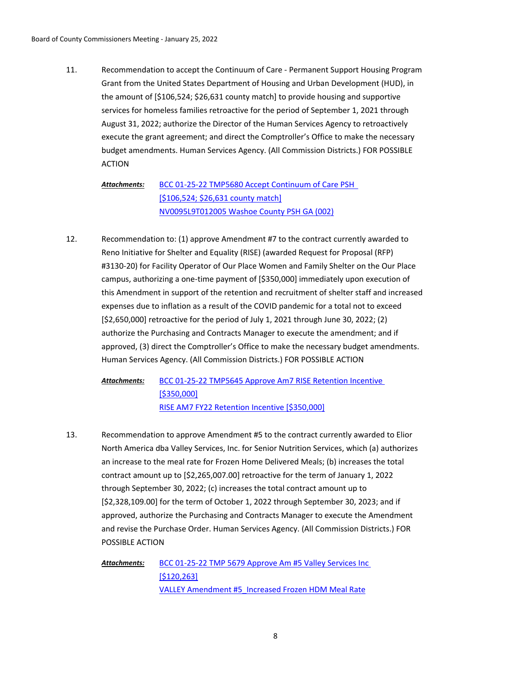Recommendation to accept the Continuum of Care - Permanent Support Housing Program Grant from the United States Department of Housing and Urban Development (HUD), in the amount of [\$106,524; \$26,631 county match] to provide housing and supportive services for homeless families retroactive for the period of September 1, 2021 through August 31, 2022; authorize the Director of the Human Services Agency to retroactively execute the grant agreement; and direct the Comptroller's Office to make the necessary budget amendments. Human Services Agency. (All Commission Districts.) FOR POSSIBLE ACTION 11.

[BCC 01-25-22 TMP5680 Accept Continuum of Care PSH](http://washoe-nv.legistar.com/gateway.aspx?M=F&ID=7853dbf9-7d92-4085-b467-f66088307e31.doc)  [\$106,524; \$26,631 county match] [NV0095L9T012005 Washoe County PSH GA \(002\)](http://washoe-nv.legistar.com/gateway.aspx?M=F&ID=05a54ed0-3aaa-47a3-918a-2ed28d4b7295.pdf) *Attachments:*

Recommendation to: (1) approve Amendment #7 to the contract currently awarded to Reno Initiative for Shelter and Equality (RISE) (awarded Request for Proposal (RFP) #3130-20) for Facility Operator of Our Place Women and Family Shelter on the Our Place campus, authorizing a one-time payment of [\$350,000] immediately upon execution of this Amendment in support of the retention and recruitment of shelter staff and increased expenses due to inflation as a result of the COVID pandemic for a total not to exceed [\$2,650,000] retroactive for the period of July 1, 2021 through June 30, 2022; (2) authorize the Purchasing and Contracts Manager to execute the amendment; and if approved, (3) direct the Comptroller's Office to make the necessary budget amendments. Human Services Agency. (All Commission Districts.) FOR POSSIBLE ACTION 12.

[BCC 01-25-22 TMP5645 Approve Am7 RISE Retention Incentive](http://washoe-nv.legistar.com/gateway.aspx?M=F&ID=40cd5a14-a655-403b-a4c1-73ac5e3178f5.doc)  [\$350,000] [RISE AM7 FY22 Retention Incentive \[\\$350,000\]](http://washoe-nv.legistar.com/gateway.aspx?M=F&ID=7a3b375a-74fa-4789-80b5-b4ead5c2c89b.docx) *Attachments:*

Recommendation to approve Amendment #5 to the contract currently awarded to Elior North America dba Valley Services, Inc. for Senior Nutrition Services, which (a) authorizes an increase to the meal rate for Frozen Home Delivered Meals; (b) increases the total contract amount up to [\$2,265,007.00] retroactive for the term of January 1, 2022 through September 30, 2022; (c) increases the total contract amount up to [\$2,328,109.00] for the term of October 1, 2022 through September 30, 2023; and if approved, authorize the Purchasing and Contracts Manager to execute the Amendment and revise the Purchase Order. Human Services Agency. (All Commission Districts.) FOR POSSIBLE ACTION 13.

[BCC 01-25-22 TMP 5679 Approve Am #5 Valley Services Inc](http://washoe-nv.legistar.com/gateway.aspx?M=F&ID=e59afcfc-7076-4b1c-9813-0edb45084197.doc)  [\$120,263] [VALLEY Amendment #5\\_Increased Frozen HDM Meal Rate](http://washoe-nv.legistar.com/gateway.aspx?M=F&ID=3e0d4b51-1cd0-4b1d-a5da-f361e2a7cc68.docx) *Attachments:*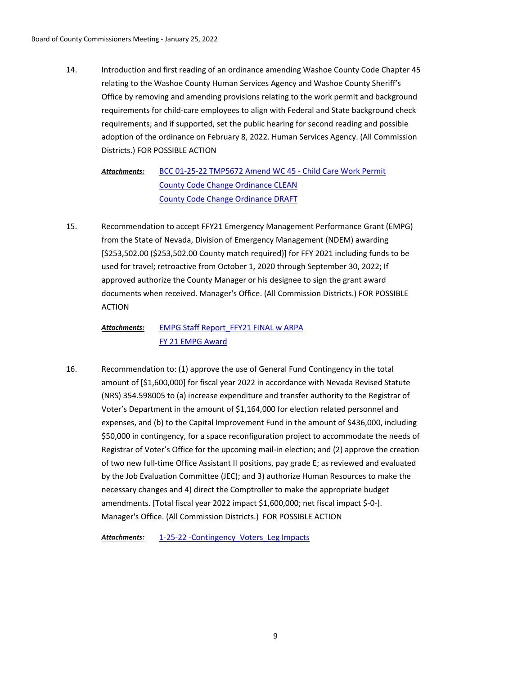Introduction and first reading of an ordinance amending Washoe County Code Chapter 45 relating to the Washoe County Human Services Agency and Washoe County Sheriff's Office by removing and amending provisions relating to the work permit and background requirements for child-care employees to align with Federal and State background check requirements; and if supported, set the public hearing for second reading and possible adoption of the ordinance on February 8, 2022. Human Services Agency. (All Commission Districts.) FOR POSSIBLE ACTION 14.

[BCC 01-25-22 TMP5672 Amend WC 45 - Child Care Work Permit](http://washoe-nv.legistar.com/gateway.aspx?M=F&ID=77054eea-6cb0-4cbe-ac14-a8d609d6f367.doc) [County Code Change Ordinance CLEAN](http://washoe-nv.legistar.com/gateway.aspx?M=F&ID=404fcc0b-f5da-4c2c-a28b-df696434df9e.docx) [County Code Change Ordinance DRAFT](http://washoe-nv.legistar.com/gateway.aspx?M=F&ID=4f8d3cd5-725e-44d2-a3ae-634708589332.docx) *Attachments:*

Recommendation to accept FFY21 Emergency Management Performance Grant (EMPG) from the State of Nevada, Division of Emergency Management (NDEM) awarding [\$253,502.00 (\$253,502.00 County match required)] for FFY 2021 including funds to be used for travel; retroactive from October 1, 2020 through September 30, 2022; If approved authorize the County Manager or his designee to sign the grant award documents when received. Manager's Office. (All Commission Districts.) FOR POSSIBLE ACTION 15.

### [EMPG Staff Report\\_FFY21 FINAL w ARPA](http://washoe-nv.legistar.com/gateway.aspx?M=F&ID=244d24ad-c021-468a-a48a-19f06ad0e6c1.doc) [FY 21 EMPG Award](http://washoe-nv.legistar.com/gateway.aspx?M=F&ID=005a97ee-75ff-4a63-bd9d-5c823665349c.PDF) *Attachments:*

Recommendation to: (1) approve the use of General Fund Contingency in the total amount of [\$1,600,000] for fiscal year 2022 in accordance with Nevada Revised Statute (NRS) 354.598005 to (a) increase expenditure and transfer authority to the Registrar of Voter's Department in the amount of \$1,164,000 for election related personnel and expenses, and (b) to the Capital Improvement Fund in the amount of \$436,000, including \$50,000 in contingency, for a space reconfiguration project to accommodate the needs of Registrar of Voter's Office for the upcoming mail-in election; and (2) approve the creation of two new full-time Office Assistant II positions, pay grade E; as reviewed and evaluated by the Job Evaluation Committee (JEC); and 3) authorize Human Resources to make the necessary changes and 4) direct the Comptroller to make the appropriate budget amendments. [Total fiscal year 2022 impact \$1,600,000; net fiscal impact \$-0-]. Manager's Office. (All Commission Districts.) FOR POSSIBLE ACTION 16.

Attachments: 1-25-22 -Contingency Voters Leg Impacts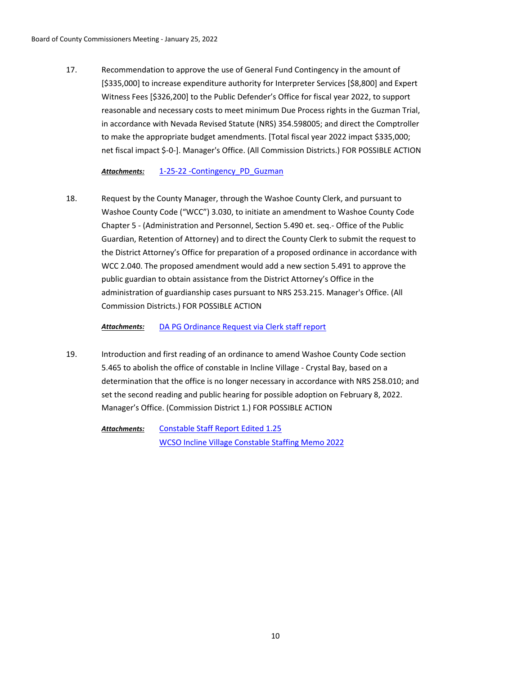Recommendation to approve the use of General Fund Contingency in the amount of [\$335,000] to increase expenditure authority for Interpreter Services [\$8,800] and Expert Witness Fees [\$326,200] to the Public Defender's Office for fiscal year 2022, to support reasonable and necessary costs to meet minimum Due Process rights in the Guzman Trial, in accordance with Nevada Revised Statute (NRS) 354.598005; and direct the Comptroller to make the appropriate budget amendments. [Total fiscal year 2022 impact \$335,000; net fiscal impact \$-0-]. Manager's Office. (All Commission Districts.) FOR POSSIBLE ACTION 17.

*Attachments:* [1-25-22 -Contingency\\_PD\\_Guzman](http://washoe-nv.legistar.com/gateway.aspx?M=F&ID=0de78858-2a78-42c7-bc84-b3b1fde892be.doc)

Request by the County Manager, through the Washoe County Clerk, and pursuant to Washoe County Code ("WCC") 3.030, to initiate an amendment to Washoe County Code Chapter 5 - (Administration and Personnel, Section 5.490 et. seq.- Office of the Public Guardian, Retention of Attorney) and to direct the County Clerk to submit the request to the District Attorney's Office for preparation of a proposed ordinance in accordance with WCC 2.040. The proposed amendment would add a new section 5.491 to approve the public guardian to obtain assistance from the District Attorney's Office in the administration of guardianship cases pursuant to NRS 253.215. Manager's Office. (All Commission Districts.) FOR POSSIBLE ACTION 18.

*Attachments:* [DA PG Ordinance Request via Clerk staff report](http://washoe-nv.legistar.com/gateway.aspx?M=F&ID=e66f0d28-2e04-43bb-9e39-ce53431bdd3d.doc)

Introduction and first reading of an ordinance to amend Washoe County Code section 5.465 to abolish the office of constable in Incline Village - Crystal Bay, based on a determination that the office is no longer necessary in accordance with NRS 258.010; and set the second reading and public hearing for possible adoption on February 8, 2022. Manager's Office. (Commission District 1.) FOR POSSIBLE ACTION 19.

[Constable Staff Report Edited 1.25](http://washoe-nv.legistar.com/gateway.aspx?M=F&ID=f07e03dd-c665-4f01-b8e2-3e9895c3d07f.docx) [WCSO Incline Village Constable Staffing Memo 2022](http://washoe-nv.legistar.com/gateway.aspx?M=F&ID=443d4326-4f8e-4bf2-9175-afb88477be13.docx) *Attachments:*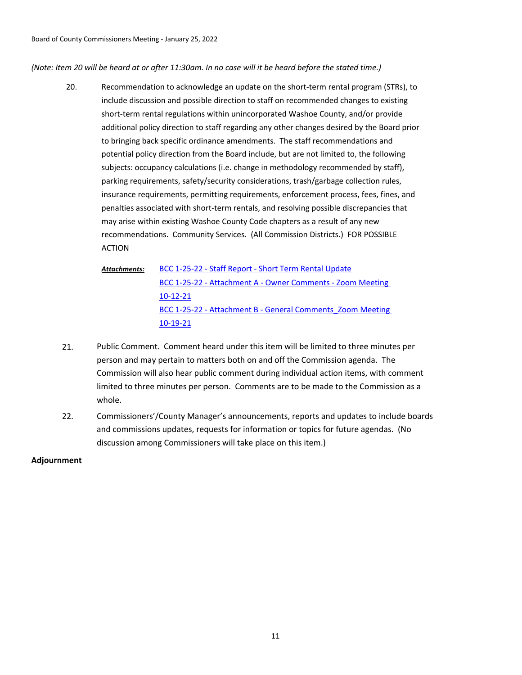*(Note: Item 20 will be heard at or after 11:30am. In no case will it be heard before the stated time.)*

- Recommendation to acknowledge an update on the short-term rental program (STRs), to include discussion and possible direction to staff on recommended changes to existing short-term rental regulations within unincorporated Washoe County, and/or provide additional policy direction to staff regarding any other changes desired by the Board prior to bringing back specific ordinance amendments. The staff recommendations and potential policy direction from the Board include, but are not limited to, the following subjects: occupancy calculations (i.e. change in methodology recommended by staff), parking requirements, safety/security considerations, trash/garbage collection rules, insurance requirements, permitting requirements, enforcement process, fees, fines, and penalties associated with short-term rentals, and resolving possible discrepancies that may arise within existing Washoe County Code chapters as a result of any new recommendations. Community Services. (All Commission Districts.) FOR POSSIBLE ACTION 20.
	- [BCC 1-25-22 Staff Report Short Term Rental Update](http://washoe-nv.legistar.com/gateway.aspx?M=F&ID=336db62f-4c73-46ff-be61-93addb7a23c9.docx) [BCC 1-25-22 - Attachment A - Owner Comments - Zoom Meeting](http://washoe-nv.legistar.com/gateway.aspx?M=F&ID=9cdcd85d-b36b-4846-9e9c-02cc7de8cbcc.pdf)  10-12-21 BCC 1-25-22 - Attachment B - General Comments Zoom Meeting 10-19-21 *Attachments:*
- 21. Public Comment. Comment heard under this item will be limited to three minutes per person and may pertain to matters both on and off the Commission agenda. The Commission will also hear public comment during individual action items, with comment limited to three minutes per person. Comments are to be made to the Commission as a whole.
- 22. Commissioners'/County Manager's announcements, reports and updates to include boards and commissions updates, requests for information or topics for future agendas. (No discussion among Commissioners will take place on this item.)

**Adjournment**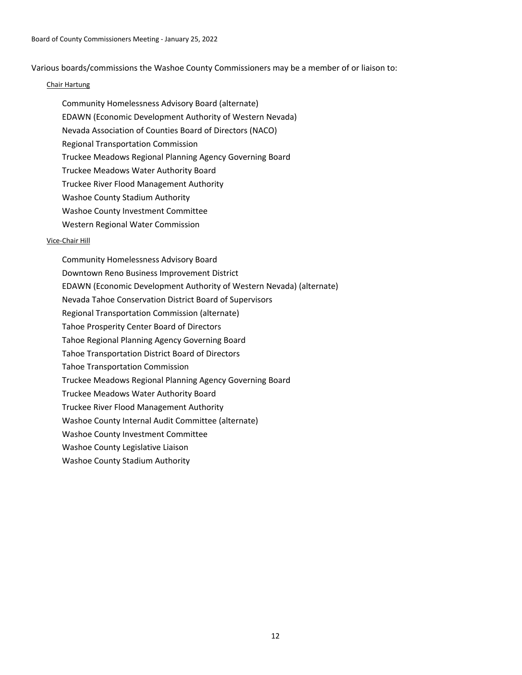Various boards/commissions the Washoe County Commissioners may be a member of or liaison to:

### Chair Hartung

Community Homelessness Advisory Board (alternate) EDAWN (Economic Development Authority of Western Nevada) Nevada Association of Counties Board of Directors (NACO) Regional Transportation Commission Truckee Meadows Regional Planning Agency Governing Board Truckee Meadows Water Authority Board Truckee River Flood Management Authority Washoe County Stadium Authority Washoe County Investment Committee Western Regional Water Commission

### Vice-Chair Hill

Community Homelessness Advisory Board Downtown Reno Business Improvement District EDAWN (Economic Development Authority of Western Nevada) (alternate) Nevada Tahoe Conservation District Board of Supervisors Regional Transportation Commission (alternate) Tahoe Prosperity Center Board of Directors Tahoe Regional Planning Agency Governing Board Tahoe Transportation District Board of Directors Tahoe Transportation Commission Truckee Meadows Regional Planning Agency Governing Board Truckee Meadows Water Authority Board Truckee River Flood Management Authority Washoe County Internal Audit Committee (alternate) Washoe County Investment Committee Washoe County Legislative Liaison Washoe County Stadium Authority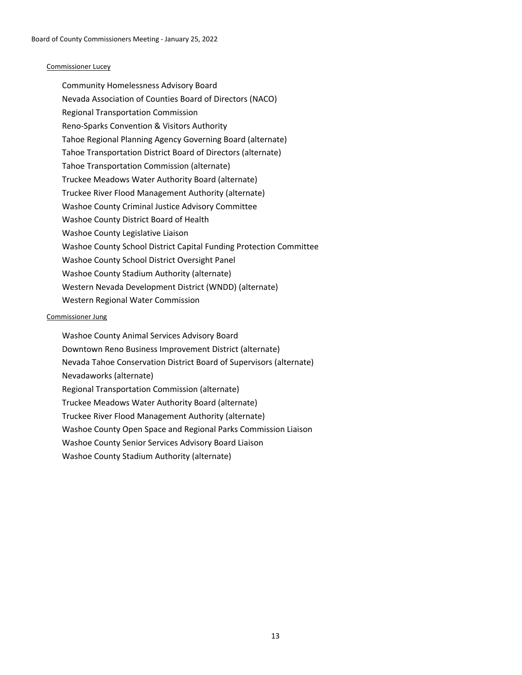### Commissioner Lucey

Community Homelessness Advisory Board Nevada Association of Counties Board of Directors (NACO) Regional Transportation Commission Reno-Sparks Convention & Visitors Authority Tahoe Regional Planning Agency Governing Board (alternate) Tahoe Transportation District Board of Directors (alternate) Tahoe Transportation Commission (alternate) Truckee Meadows Water Authority Board (alternate) Truckee River Flood Management Authority (alternate) Washoe County Criminal Justice Advisory Committee Washoe County District Board of Health Washoe County Legislative Liaison Washoe County School District Capital Funding Protection Committee Washoe County School District Oversight Panel Washoe County Stadium Authority (alternate) Western Nevada Development District (WNDD) (alternate) Western Regional Water Commission

### Commissioner Jung

Washoe County Animal Services Advisory Board Downtown Reno Business Improvement District (alternate) Nevada Tahoe Conservation District Board of Supervisors (alternate) Nevadaworks (alternate) Regional Transportation Commission (alternate) Truckee Meadows Water Authority Board (alternate) Truckee River Flood Management Authority (alternate) Washoe County Open Space and Regional Parks Commission Liaison Washoe County Senior Services Advisory Board Liaison Washoe County Stadium Authority (alternate)